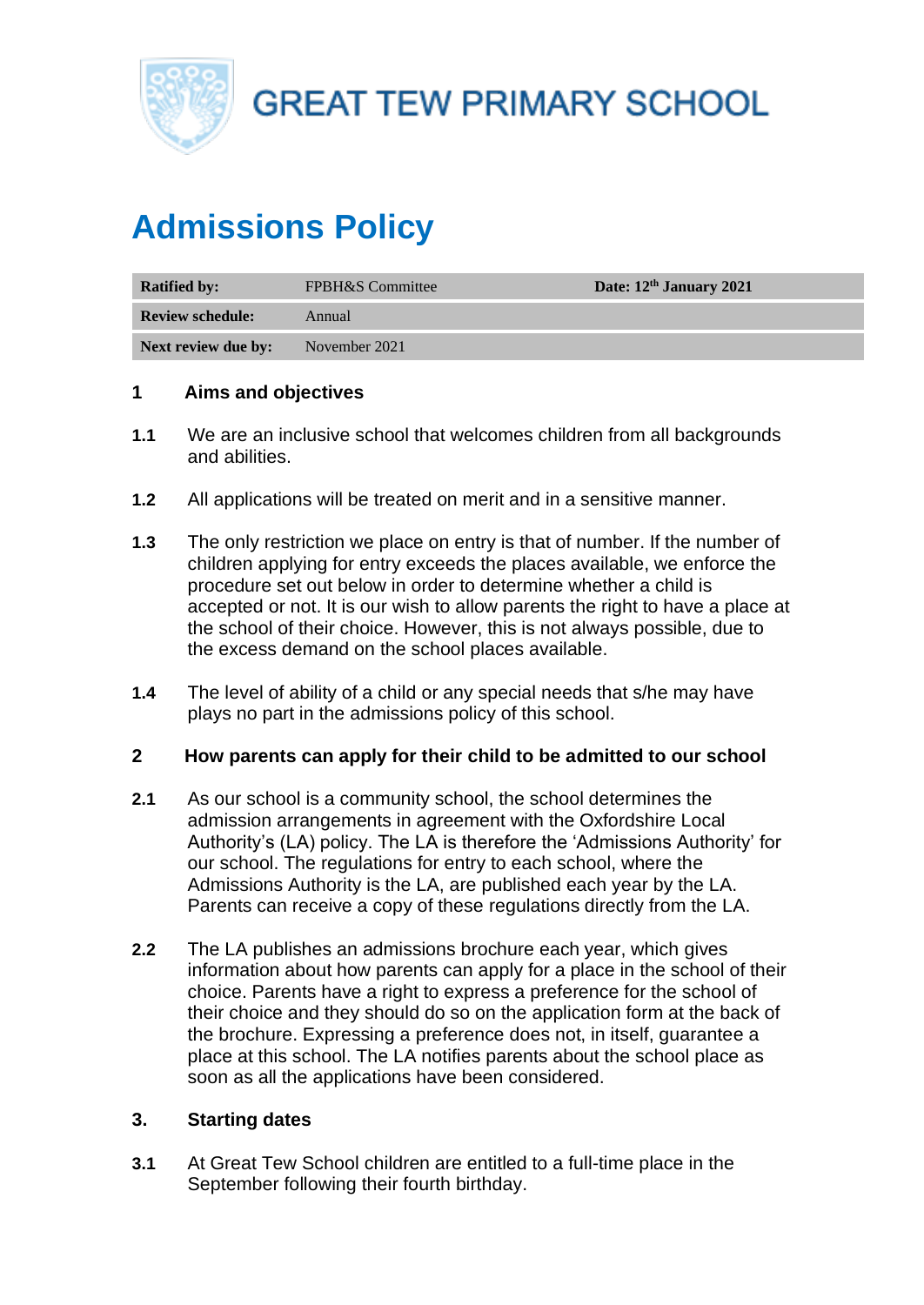

**GREAT TEW PRIMARY SCHOOL** 

# **Admissions Policy**

| <b>Ratified by:</b>     | <b>FPBH&amp;S</b> Committee | Date: 12th January 2021 |
|-------------------------|-----------------------------|-------------------------|
| <b>Review schedule:</b> | Annual                      |                         |
| Next review due by:     | November 2021               |                         |

## **1 Aims and objectives**

- **1.1** We are an inclusive school that welcomes children from all backgrounds and abilities.
- **1.2** All applications will be treated on merit and in a sensitive manner.
- **1.3** The only restriction we place on entry is that of number. If the number of children applying for entry exceeds the places available, we enforce the procedure set out below in order to determine whether a child is accepted or not. It is our wish to allow parents the right to have a place at the school of their choice. However, this is not always possible, due to the excess demand on the school places available.
- **1.4** The level of ability of a child or any special needs that s/he may have plays no part in the admissions policy of this school.

#### **2 How parents can apply for their child to be admitted to our school**

- **2.1** As our school is a community school, the school determines the admission arrangements in agreement with the Oxfordshire Local Authority's (LA) policy. The LA is therefore the 'Admissions Authority' for our school. The regulations for entry to each school, where the Admissions Authority is the LA, are published each year by the LA. Parents can receive a copy of these regulations directly from the LA.
- **2.2** The LA publishes an admissions brochure each year, which gives information about how parents can apply for a place in the school of their choice. Parents have a right to express a preference for the school of their choice and they should do so on the application form at the back of the brochure. Expressing a preference does not, in itself, guarantee a place at this school. The LA notifies parents about the school place as soon as all the applications have been considered.

## **3. Starting dates**

**3.1** At Great Tew School children are entitled to a full-time place in the September following their fourth birthday.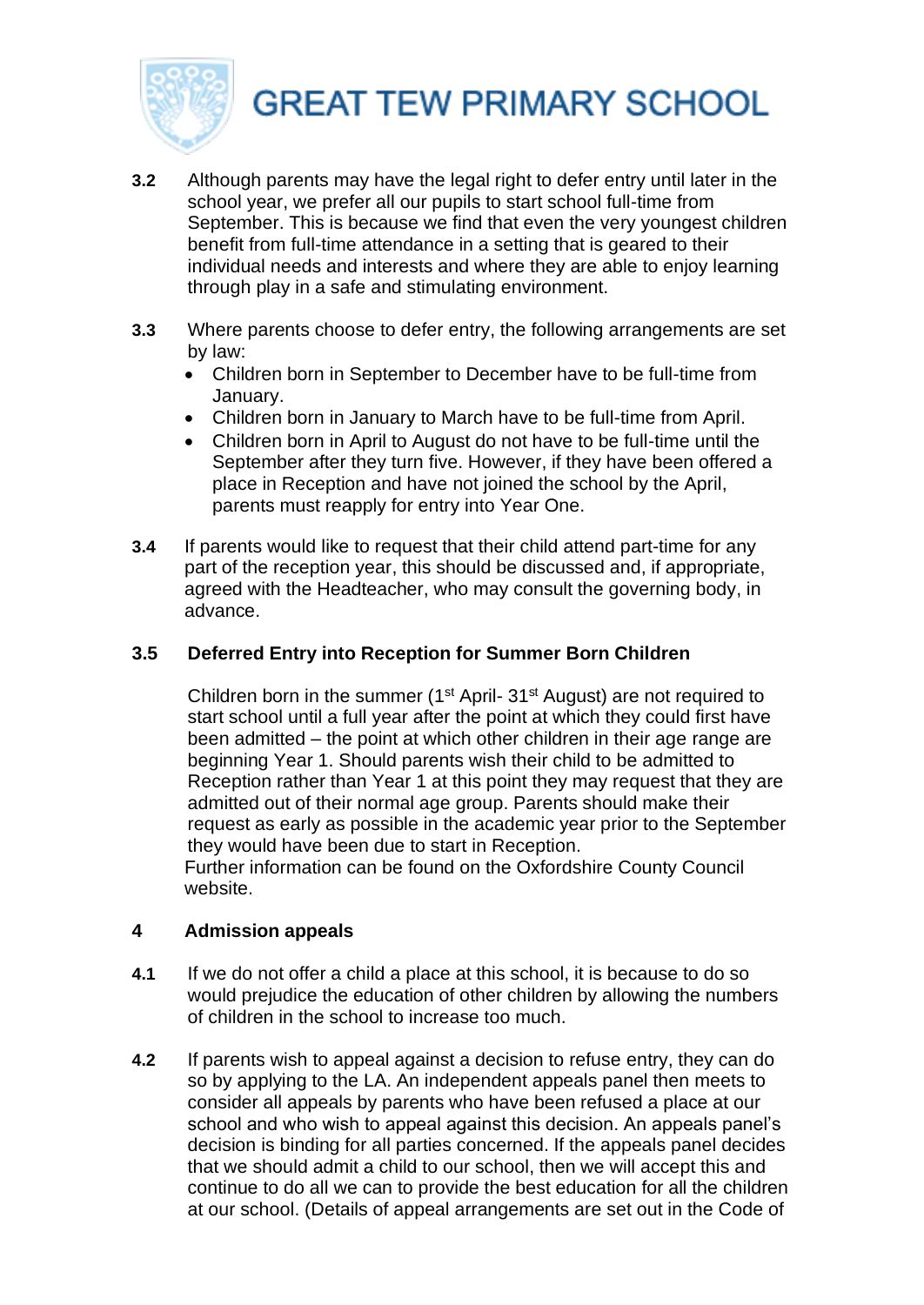

# **GREAT TEW PRIMARY SCHOOL**

- **3.2** Although parents may have the legal right to defer entry until later in the school year, we prefer all our pupils to start school full-time from September. This is because we find that even the very youngest children benefit from full-time attendance in a setting that is geared to their individual needs and interests and where they are able to enjoy learning through play in a safe and stimulating environment.
- **3.3** Where parents choose to defer entry, the following arrangements are set by law:
	- Children born in September to December have to be full-time from January.
	- Children born in January to March have to be full-time from April.
	- Children born in April to August do not have to be full-time until the September after they turn five. However, if they have been offered a place in Reception and have not joined the school by the April, parents must reapply for entry into Year One.
- **3.4** If parents would like to request that their child attend part-time for any part of the reception year, this should be discussed and, if appropriate, agreed with the Headteacher, who may consult the governing body, in advance.

# **3.5 Deferred Entry into Reception for Summer Born Children**

Children born in the summer ( $1<sup>st</sup>$  April- 31 $<sup>st</sup>$  August) are not required to</sup> start school until a full year after the point at which they could first have been admitted – the point at which other children in their age range are beginning Year 1. Should parents wish their child to be admitted to Reception rather than Year 1 at this point they may request that they are admitted out of their normal age group. Parents should make their request as early as possible in the academic year prior to the September they would have been due to start in Reception.

Further information can be found on the Oxfordshire County Council website.

## **4 Admission appeals**

- **4.1** If we do not offer a child a place at this school, it is because to do so would prejudice the education of other children by allowing the numbers of children in the school to increase too much.
- **4.2** If parents wish to appeal against a decision to refuse entry, they can do so by applying to the LA. An independent appeals panel then meets to consider all appeals by parents who have been refused a place at our school and who wish to appeal against this decision. An appeals panel's decision is binding for all parties concerned. If the appeals panel decides that we should admit a child to our school, then we will accept this and continue to do all we can to provide the best education for all the children at our school. (Details of appeal arrangements are set out in the Code of